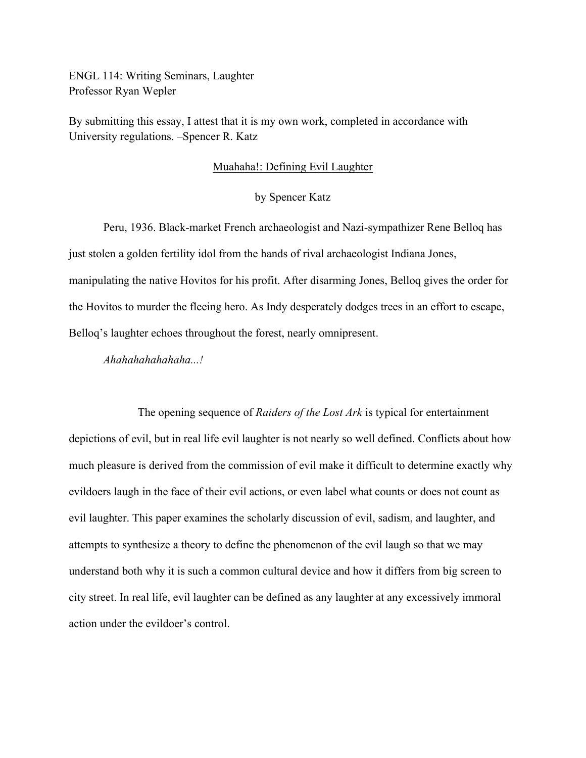ENGL 114: Writing Seminars, Laughter Professor Ryan Wepler

By submitting this essay, I attest that it is my own work, completed in accordance with University regulations. –Spencer R. Katz

#### Muahaha!: Defining Evil Laughter

## by Spencer Katz

Peru, 1936. Black-market French archaeologist and Nazi-sympathizer Rene Belloq has just stolen a golden fertility idol from the hands of rival archaeologist Indiana Jones, manipulating the native Hovitos for his profit. After disarming Jones, Belloq gives the order for the Hovitos to murder the fleeing hero. As Indy desperately dodges trees in an effort to escape, Belloq's laughter echoes throughout the forest, nearly omnipresent.

*Ahahahahahahaha...!*

The opening sequence of *Raiders of the Lost Ark* is typical for entertainment depictions of evil, but in real life evil laughter is not nearly so well defined. Conflicts about how much pleasure is derived from the commission of evil make it difficult to determine exactly why evildoers laugh in the face of their evil actions, or even label what counts or does not count as evil laughter. This paper examines the scholarly discussion of evil, sadism, and laughter, and attempts to synthesize a theory to define the phenomenon of the evil laugh so that we may understand both why it is such a common cultural device and how it differs from big screen to city street. In real life, evil laughter can be defined as any laughter at any excessively immoral action under the evildoer's control.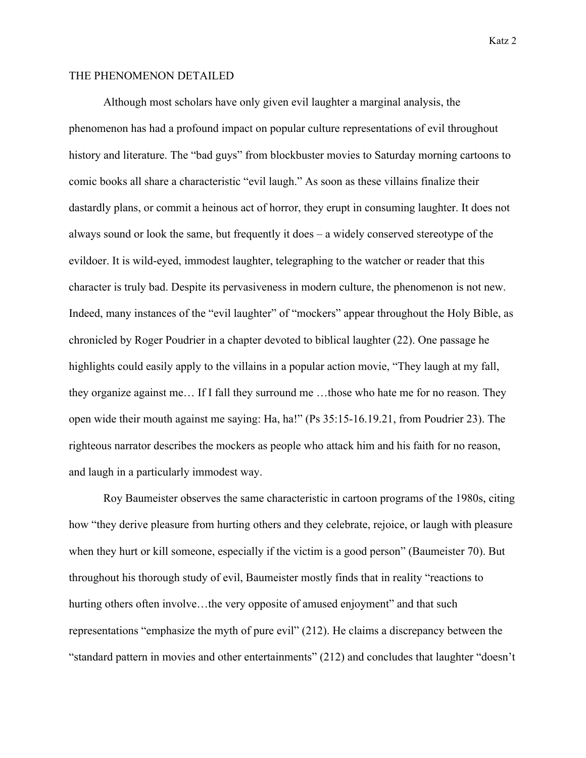## THE PHENOMENON DETAILED

Although most scholars have only given evil laughter a marginal analysis, the phenomenon has had a profound impact on popular culture representations of evil throughout history and literature. The "bad guys" from blockbuster movies to Saturday morning cartoons to comic books all share a characteristic "evil laugh." As soon as these villains finalize their dastardly plans, or commit a heinous act of horror, they erupt in consuming laughter. It does not always sound or look the same, but frequently it does – a widely conserved stereotype of the evildoer. It is wild-eyed, immodest laughter, telegraphing to the watcher or reader that this character is truly bad. Despite its pervasiveness in modern culture, the phenomenon is not new. Indeed, many instances of the "evil laughter" of "mockers" appear throughout the Holy Bible, as chronicled by Roger Poudrier in a chapter devoted to biblical laughter (22). One passage he highlights could easily apply to the villains in a popular action movie, "They laugh at my fall, they organize against me… If I fall they surround me …those who hate me for no reason. They open wide their mouth against me saying: Ha, ha!" (Ps 35:15-16.19.21, from Poudrier 23). The righteous narrator describes the mockers as people who attack him and his faith for no reason, and laugh in a particularly immodest way.

Roy Baumeister observes the same characteristic in cartoon programs of the 1980s, citing how "they derive pleasure from hurting others and they celebrate, rejoice, or laugh with pleasure when they hurt or kill someone, especially if the victim is a good person" (Baumeister 70). But throughout his thorough study of evil, Baumeister mostly finds that in reality "reactions to hurting others often involve...the very opposite of amused enjoyment" and that such representations "emphasize the myth of pure evil" (212). He claims a discrepancy between the "standard pattern in movies and other entertainments" (212) and concludes that laughter "doesn't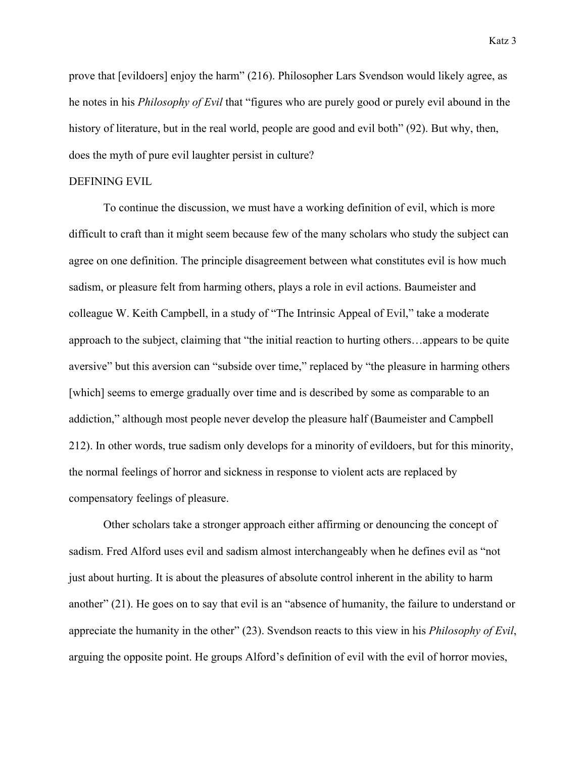prove that [evildoers] enjoy the harm" (216). Philosopher Lars Svendson would likely agree, as he notes in his *Philosophy of Evil* that "figures who are purely good or purely evil abound in the history of literature, but in the real world, people are good and evil both" (92). But why, then, does the myth of pure evil laughter persist in culture?

## DEFINING EVIL

To continue the discussion, we must have a working definition of evil, which is more difficult to craft than it might seem because few of the many scholars who study the subject can agree on one definition. The principle disagreement between what constitutes evil is how much sadism, or pleasure felt from harming others, plays a role in evil actions. Baumeister and colleague W. Keith Campbell, in a study of "The Intrinsic Appeal of Evil," take a moderate approach to the subject, claiming that "the initial reaction to hurting others…appears to be quite aversive" but this aversion can "subside over time," replaced by "the pleasure in harming others [which] seems to emerge gradually over time and is described by some as comparable to an addiction," although most people never develop the pleasure half (Baumeister and Campbell 212). In other words, true sadism only develops for a minority of evildoers, but for this minority, the normal feelings of horror and sickness in response to violent acts are replaced by compensatory feelings of pleasure.

Other scholars take a stronger approach either affirming or denouncing the concept of sadism. Fred Alford uses evil and sadism almost interchangeably when he defines evil as "not just about hurting. It is about the pleasures of absolute control inherent in the ability to harm another" (21). He goes on to say that evil is an "absence of humanity, the failure to understand or appreciate the humanity in the other" (23). Svendson reacts to this view in his *Philosophy of Evil*, arguing the opposite point. He groups Alford's definition of evil with the evil of horror movies,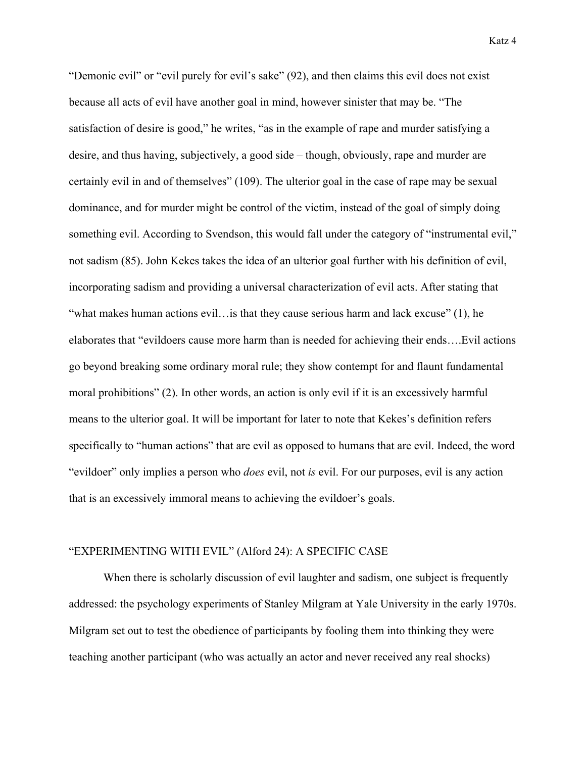"Demonic evil" or "evil purely for evil's sake" (92), and then claims this evil does not exist because all acts of evil have another goal in mind, however sinister that may be. "The satisfaction of desire is good," he writes, "as in the example of rape and murder satisfying a desire, and thus having, subjectively, a good side – though, obviously, rape and murder are certainly evil in and of themselves" (109). The ulterior goal in the case of rape may be sexual dominance, and for murder might be control of the victim, instead of the goal of simply doing something evil. According to Svendson, this would fall under the category of "instrumental evil," not sadism (85). John Kekes takes the idea of an ulterior goal further with his definition of evil, incorporating sadism and providing a universal characterization of evil acts. After stating that "what makes human actions evil... is that they cause serious harm and lack excuse"  $(1)$ , he elaborates that "evildoers cause more harm than is needed for achieving their ends….Evil actions go beyond breaking some ordinary moral rule; they show contempt for and flaunt fundamental moral prohibitions" (2). In other words, an action is only evil if it is an excessively harmful means to the ulterior goal. It will be important for later to note that Kekes's definition refers specifically to "human actions" that are evil as opposed to humans that are evil. Indeed, the word "evildoer" only implies a person who *does* evil, not *is* evil. For our purposes, evil is any action that is an excessively immoral means to achieving the evildoer's goals.

#### "EXPERIMENTING WITH EVIL" (Alford 24): A SPECIFIC CASE

When there is scholarly discussion of evil laughter and sadism, one subject is frequently addressed: the psychology experiments of Stanley Milgram at Yale University in the early 1970s. Milgram set out to test the obedience of participants by fooling them into thinking they were teaching another participant (who was actually an actor and never received any real shocks)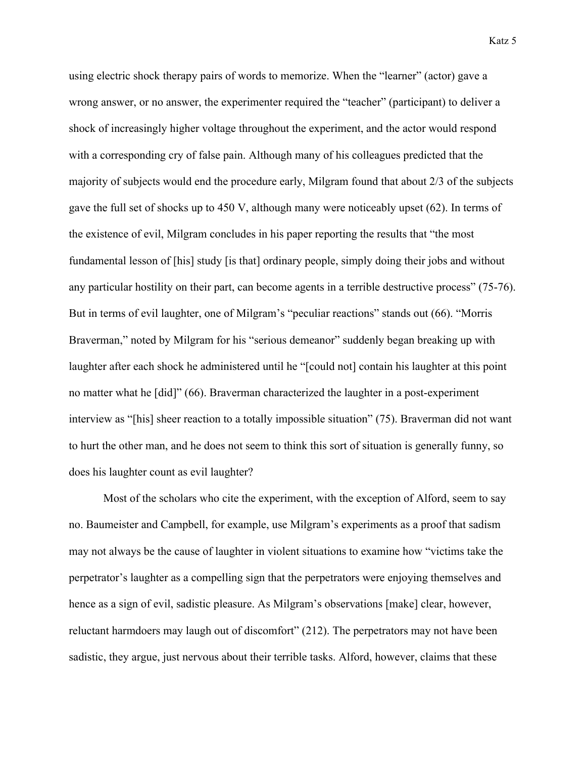using electric shock therapy pairs of words to memorize. When the "learner" (actor) gave a wrong answer, or no answer, the experimenter required the "teacher" (participant) to deliver a shock of increasingly higher voltage throughout the experiment, and the actor would respond with a corresponding cry of false pain. Although many of his colleagues predicted that the majority of subjects would end the procedure early, Milgram found that about 2/3 of the subjects gave the full set of shocks up to 450 V, although many were noticeably upset (62). In terms of the existence of evil, Milgram concludes in his paper reporting the results that "the most fundamental lesson of [his] study [is that] ordinary people, simply doing their jobs and without any particular hostility on their part, can become agents in a terrible destructive process" (75-76). But in terms of evil laughter, one of Milgram's "peculiar reactions" stands out (66). "Morris Braverman," noted by Milgram for his "serious demeanor" suddenly began breaking up with laughter after each shock he administered until he "[could not] contain his laughter at this point no matter what he [did]" (66). Braverman characterized the laughter in a post-experiment interview as "[his] sheer reaction to a totally impossible situation" (75). Braverman did not want to hurt the other man, and he does not seem to think this sort of situation is generally funny, so does his laughter count as evil laughter?

Most of the scholars who cite the experiment, with the exception of Alford, seem to say no. Baumeister and Campbell, for example, use Milgram's experiments as a proof that sadism may not always be the cause of laughter in violent situations to examine how "victims take the perpetrator's laughter as a compelling sign that the perpetrators were enjoying themselves and hence as a sign of evil, sadistic pleasure. As Milgram's observations [make] clear, however, reluctant harmdoers may laugh out of discomfort" (212). The perpetrators may not have been sadistic, they argue, just nervous about their terrible tasks. Alford, however, claims that these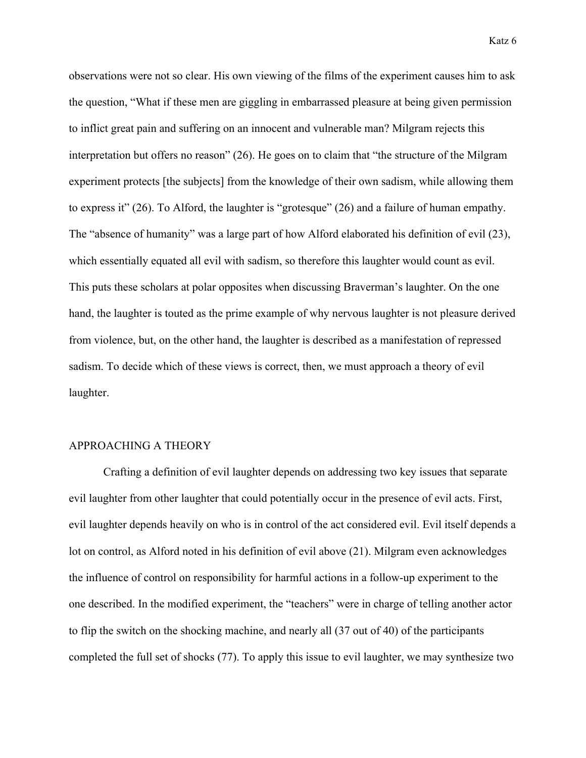observations were not so clear. His own viewing of the films of the experiment causes him to ask the question, "What if these men are giggling in embarrassed pleasure at being given permission to inflict great pain and suffering on an innocent and vulnerable man? Milgram rejects this interpretation but offers no reason" (26). He goes on to claim that "the structure of the Milgram experiment protects [the subjects] from the knowledge of their own sadism, while allowing them to express it" (26). To Alford, the laughter is "grotesque" (26) and a failure of human empathy. The "absence of humanity" was a large part of how Alford elaborated his definition of evil (23), which essentially equated all evil with sadism, so therefore this laughter would count as evil. This puts these scholars at polar opposites when discussing Braverman's laughter. On the one hand, the laughter is touted as the prime example of why nervous laughter is not pleasure derived from violence, but, on the other hand, the laughter is described as a manifestation of repressed sadism. To decide which of these views is correct, then, we must approach a theory of evil laughter.

#### APPROACHING A THEORY

Crafting a definition of evil laughter depends on addressing two key issues that separate evil laughter from other laughter that could potentially occur in the presence of evil acts. First, evil laughter depends heavily on who is in control of the act considered evil. Evil itself depends a lot on control, as Alford noted in his definition of evil above (21). Milgram even acknowledges the influence of control on responsibility for harmful actions in a follow-up experiment to the one described. In the modified experiment, the "teachers" were in charge of telling another actor to flip the switch on the shocking machine, and nearly all (37 out of 40) of the participants completed the full set of shocks (77). To apply this issue to evil laughter, we may synthesize two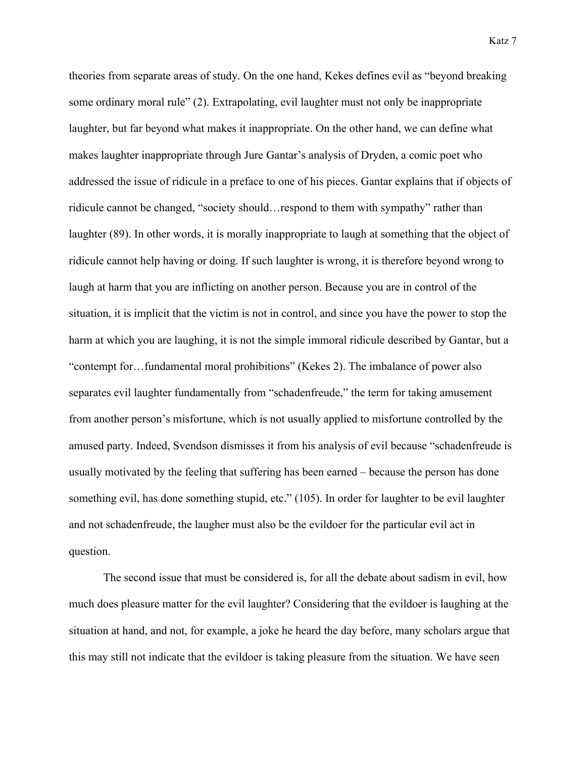theories from separate areas of study. On the one hand, Kekes defines evil as "beyond breaking some ordinary moral rule" (2). Extrapolating, evil laughter must not only be inappropriate laughter, but far beyond what makes it inappropriate. On the other hand, we can define what makes laughter inappropriate through Jure Gantar's analysis of Dryden, a comic poet who addressed the issue of ridicule in a preface to one of his pieces. Gantar explains that if objects of ridicule cannot be changed, "society should…respond to them with sympathy" rather than laughter (89). In other words, it is morally inappropriate to laugh at something that the object of ridicule cannot help having or doing. If such laughter is wrong, it is therefore beyond wrong to laugh at harm that you are inflicting on another person. Because you are in control of the situation, it is implicit that the victim is not in control, and since you have the power to stop the harm at which you are laughing, it is not the simple immoral ridicule described by Gantar, but a "contempt for…fundamental moral prohibitions" (Kekes 2). The imbalance of power also separates evil laughter fundamentally from "schadenfreude," the term for taking amusement from another person's misfortune, which is not usually applied to misfortune controlled by the amused party. Indeed, Svendson dismisses it from his analysis of evil because "schadenfreude is usually motivated by the feeling that suffering has been earned – because the person has done something evil, has done something stupid, etc." (105). In order for laughter to be evil laughter and not schadenfreude, the laugher must also be the evildoer for the particular evil act in question.

The second issue that must be considered is, for all the debate about sadism in evil, how much does pleasure matter for the evil laughter? Considering that the evildoer is laughing at the situation at hand, and not, for example, a joke he heard the day before, many scholars argue that this may still not indicate that the evildoer is taking pleasure from the situation. We have seen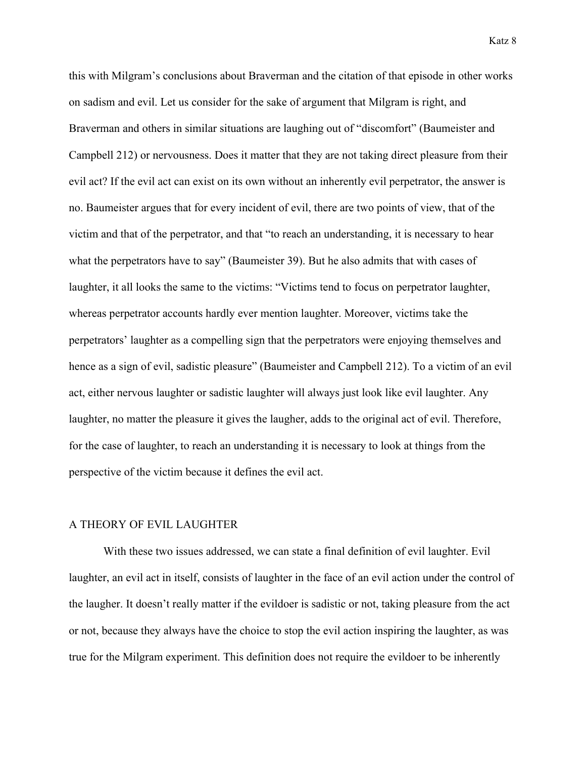this with Milgram's conclusions about Braverman and the citation of that episode in other works on sadism and evil. Let us consider for the sake of argument that Milgram is right, and Braverman and others in similar situations are laughing out of "discomfort" (Baumeister and Campbell 212) or nervousness. Does it matter that they are not taking direct pleasure from their evil act? If the evil act can exist on its own without an inherently evil perpetrator, the answer is no. Baumeister argues that for every incident of evil, there are two points of view, that of the victim and that of the perpetrator, and that "to reach an understanding, it is necessary to hear what the perpetrators have to say" (Baumeister 39). But he also admits that with cases of laughter, it all looks the same to the victims: "Victims tend to focus on perpetrator laughter, whereas perpetrator accounts hardly ever mention laughter. Moreover, victims take the perpetrators' laughter as a compelling sign that the perpetrators were enjoying themselves and hence as a sign of evil, sadistic pleasure" (Baumeister and Campbell 212). To a victim of an evil act, either nervous laughter or sadistic laughter will always just look like evil laughter. Any laughter, no matter the pleasure it gives the laugher, adds to the original act of evil. Therefore, for the case of laughter, to reach an understanding it is necessary to look at things from the perspective of the victim because it defines the evil act.

## A THEORY OF EVIL LAUGHTER

With these two issues addressed, we can state a final definition of evil laughter. Evil laughter, an evil act in itself, consists of laughter in the face of an evil action under the control of the laugher. It doesn't really matter if the evildoer is sadistic or not, taking pleasure from the act or not, because they always have the choice to stop the evil action inspiring the laughter, as was true for the Milgram experiment. This definition does not require the evildoer to be inherently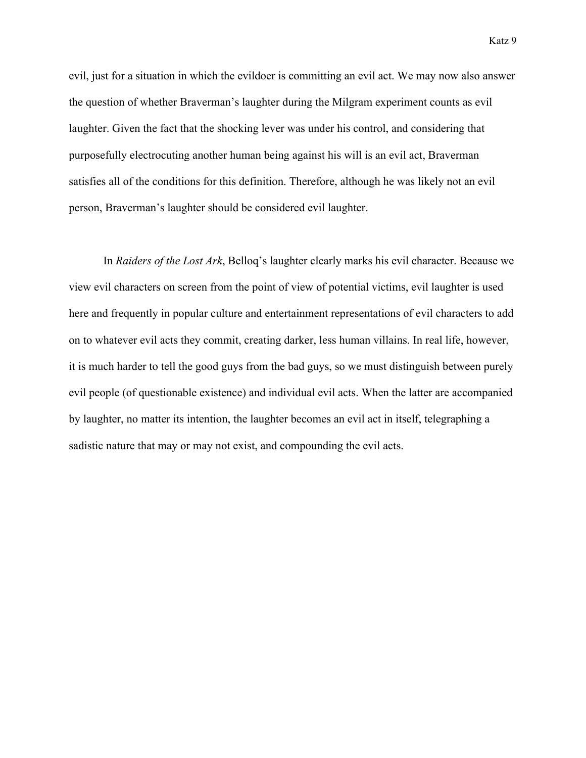evil, just for a situation in which the evildoer is committing an evil act. We may now also answer the question of whether Braverman's laughter during the Milgram experiment counts as evil laughter. Given the fact that the shocking lever was under his control, and considering that purposefully electrocuting another human being against his will is an evil act, Braverman satisfies all of the conditions for this definition. Therefore, although he was likely not an evil person, Braverman's laughter should be considered evil laughter.

In *Raiders of the Lost Ark*, Belloq's laughter clearly marks his evil character. Because we view evil characters on screen from the point of view of potential victims, evil laughter is used here and frequently in popular culture and entertainment representations of evil characters to add on to whatever evil acts they commit, creating darker, less human villains. In real life, however, it is much harder to tell the good guys from the bad guys, so we must distinguish between purely evil people (of questionable existence) and individual evil acts. When the latter are accompanied by laughter, no matter its intention, the laughter becomes an evil act in itself, telegraphing a sadistic nature that may or may not exist, and compounding the evil acts.